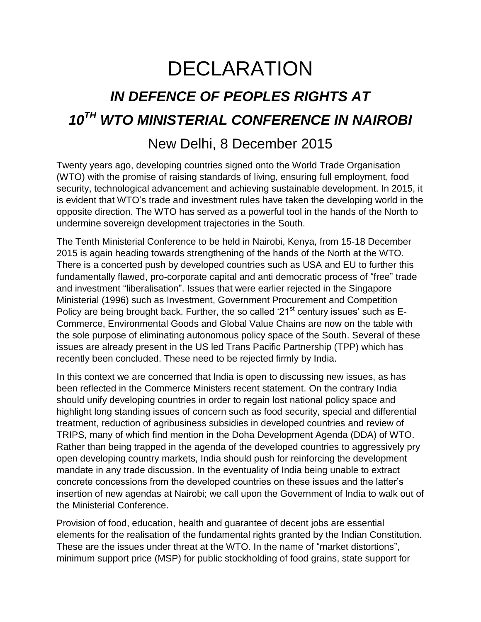## DECLARATION

## *IN DEFENCE OF PEOPLES RIGHTS AT 10TH WTO MINISTERIAL CONFERENCE IN NAIROBI*

## New Delhi, 8 December 2015

Twenty years ago, developing countries signed onto the World Trade Organisation (WTO) with the promise of raising standards of living, ensuring full employment, food security, technological advancement and achieving sustainable development. In 2015, it is evident that WTO's trade and investment rules have taken the developing world in the opposite direction. The WTO has served as a powerful tool in the hands of the North to undermine sovereign development trajectories in the South.

The Tenth Ministerial Conference to be held in Nairobi, Kenya, from 15-18 December 2015 is again heading towards strengthening of the hands of the North at the WTO. There is a concerted push by developed countries such as USA and EU to further this fundamentally flawed, pro-corporate capital and anti democratic process of "free" trade and investment "liberalisation". Issues that were earlier rejected in the Singapore Ministerial (1996) such as Investment, Government Procurement and Competition Policy are being brought back. Further, the so called ' $21<sup>st</sup>$  century issues' such as E-Commerce, Environmental Goods and Global Value Chains are now on the table with the sole purpose of eliminating autonomous policy space of the South. Several of these issues are already present in the US led Trans Pacific Partnership (TPP) which has recently been concluded. These need to be rejected firmly by India.

In this context we are concerned that India is open to discussing new issues, as has been reflected in the Commerce Ministers recent statement. On the contrary India should unify developing countries in order to regain lost national policy space and highlight long standing issues of concern such as food security, special and differential treatment, reduction of agribusiness subsidies in developed countries and review of TRIPS, many of which find mention in the Doha Development Agenda (DDA) of WTO. Rather than being trapped in the agenda of the developed countries to aggressively pry open developing country markets, India should push for reinforcing the development mandate in any trade discussion. In the eventuality of India being unable to extract concrete concessions from the developed countries on these issues and the latter's insertion of new agendas at Nairobi; we call upon the Government of India to walk out of the Ministerial Conference.

Provision of food, education, health and guarantee of decent jobs are essential elements for the realisation of the fundamental rights granted by the Indian Constitution. These are the issues under threat at the WTO. In the name of "market distortions", minimum support price (MSP) for public stockholding of food grains, state support for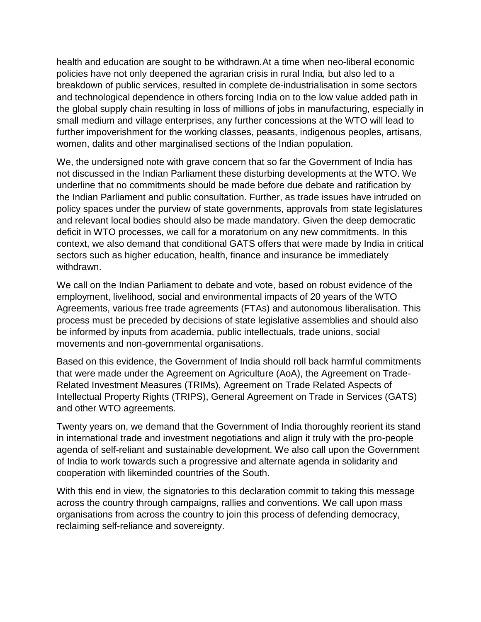health and education are sought to be withdrawn.At a time when neo-liberal economic policies have not only deepened the agrarian crisis in rural India, but also led to a breakdown of public services, resulted in complete de-industrialisation in some sectors and technological dependence in others forcing India on to the low value added path in the global supply chain resulting in loss of millions of jobs in manufacturing, especially in small medium and village enterprises, any further concessions at the WTO will lead to further impoverishment for the working classes, peasants, indigenous peoples, artisans, women, dalits and other marginalised sections of the Indian population.

We, the undersigned note with grave concern that so far the Government of India has not discussed in the Indian Parliament these disturbing developments at the WTO. We underline that no commitments should be made before due debate and ratification by the Indian Parliament and public consultation. Further, as trade issues have intruded on policy spaces under the purview of state governments, approvals from state legislatures and relevant local bodies should also be made mandatory. Given the deep democratic deficit in WTO processes, we call for a moratorium on any new commitments. In this context, we also demand that conditional GATS offers that were made by India in critical sectors such as higher education, health, finance and insurance be immediately withdrawn.

We call on the Indian Parliament to debate and vote, based on robust evidence of the employment, livelihood, social and environmental impacts of 20 years of the WTO Agreements, various free trade agreements (FTAs) and autonomous liberalisation. This process must be preceded by decisions of state legislative assemblies and should also be informed by inputs from academia, public intellectuals, trade unions, social movements and non-governmental organisations.

Based on this evidence, the Government of India should roll back harmful commitments that were made under the Agreement on Agriculture (AoA), the Agreement on Trade-Related Investment Measures (TRIMs), Agreement on Trade Related Aspects of Intellectual Property Rights (TRIPS), General Agreement on Trade in Services (GATS) and other WTO agreements.

Twenty years on, we demand that the Government of India thoroughly reorient its stand in international trade and investment negotiations and align it truly with the pro-people agenda of self-reliant and sustainable development. We also call upon the Government of India to work towards such a progressive and alternate agenda in solidarity and cooperation with likeminded countries of the South.

With this end in view, the signatories to this declaration commit to taking this message across the country through campaigns, rallies and conventions. We call upon mass organisations from across the country to join this process of defending democracy, reclaiming self-reliance and sovereignty.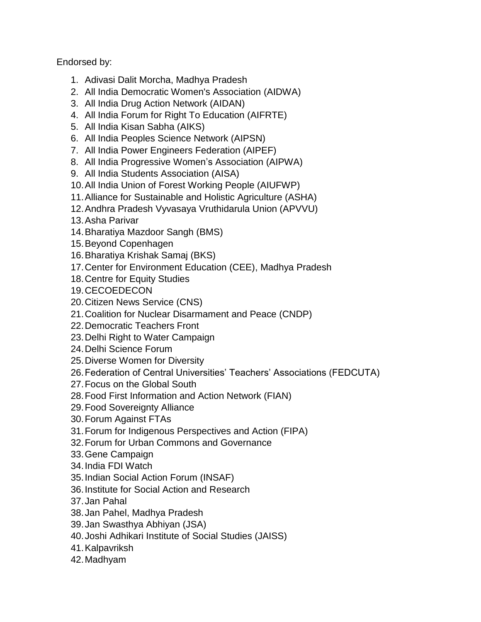Endorsed by:

- 1. Adivasi Dalit Morcha, Madhya Pradesh
- 2. All India Democratic Women's Association (AIDWA)
- 3. All India Drug Action Network (AIDAN)
- 4. All India Forum for Right To Education (AIFRTE)
- 5. All India Kisan Sabha (AIKS)
- 6. All India Peoples Science Network (AIPSN)
- 7. All India Power Engineers Federation (AIPEF)
- 8. All India Progressive Women's Association (AIPWA)
- 9. All India Students Association (AISA)
- 10.All India Union of Forest Working People (AIUFWP)
- 11.Alliance for Sustainable and Holistic Agriculture (ASHA)
- 12.Andhra Pradesh Vyvasaya Vruthidarula Union (APVVU)
- 13.Asha Parivar
- 14.Bharatiya Mazdoor Sangh (BMS)
- 15.Beyond Copenhagen
- 16.Bharatiya Krishak Samaj (BKS)
- 17.Center for Environment Education (CEE), Madhya Pradesh
- 18.Centre for Equity Studies
- 19.CECOEDECON
- 20.Citizen News Service (CNS)
- 21.Coalition for Nuclear Disarmament and Peace (CNDP)
- 22.Democratic Teachers Front
- 23.Delhi Right to Water Campaign
- 24.Delhi Science Forum
- 25.Diverse Women for Diversity
- 26.Federation of Central Universities' Teachers' Associations (FEDCUTA)
- 27.Focus on the Global South
- 28.Food First Information and Action Network (FIAN)
- 29.Food Sovereignty Alliance
- 30.Forum Against FTAs
- 31.Forum for Indigenous Perspectives and Action (FIPA)
- 32.Forum for Urban Commons and Governance
- 33.Gene Campaign
- 34.India FDI Watch
- 35.Indian Social Action Forum (INSAF)
- 36.Institute for Social Action and Research
- 37.Jan Pahal
- 38.Jan Pahel, Madhya Pradesh
- 39.Jan Swasthya Abhiyan (JSA)
- 40.Joshi Adhikari Institute of Social Studies (JAISS)
- 41.Kalpavriksh
- 42.Madhyam